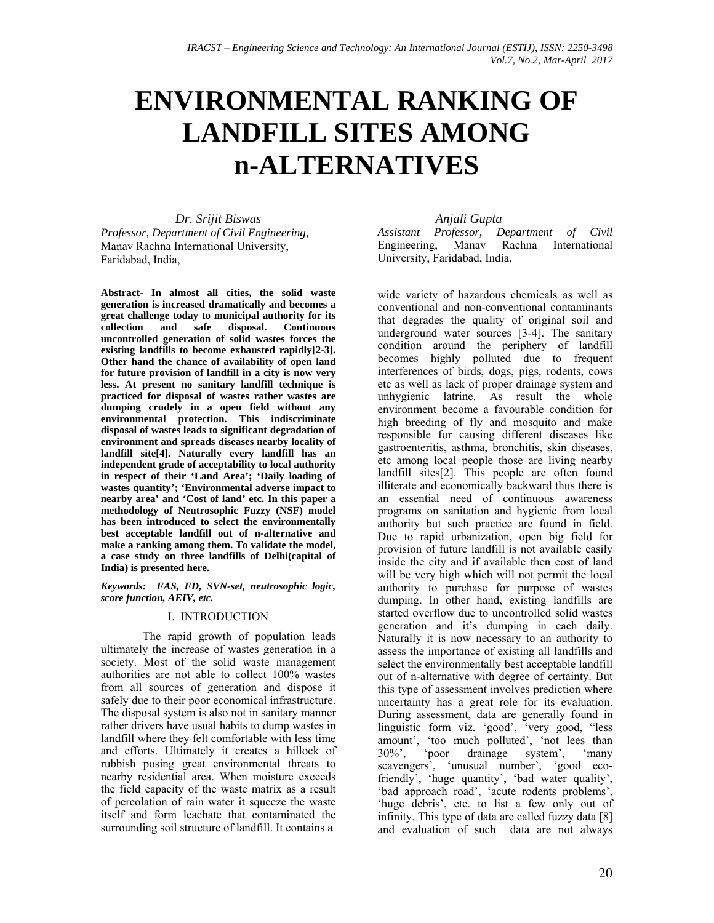# **ENVIRONMENTAL RANKING OF LANDFILL SITES AMONG n-ALTERNATIVES**

*Dr. Srijit Biswas Professor, Department of Civil Engineering,*  Manav Rachna International University, Faridabad, India,

**Abstract- In almost all cities, the solid waste generation is increased dramatically and becomes a great challenge today to municipal authority for its Continuous uncontrolled generation of solid wastes forces the existing landfills to become exhausted rapidly[2-3]. Other hand the chance of availability of open land for future provision of landfill in a city is now very less. At present no sanitary landfill technique is practiced for disposal of wastes rather wastes are dumping crudely in a open field without any environmental protection. This indiscriminate disposal of wastes leads to significant degradation of environment and spreads diseases nearby locality of landfill site[4]. Naturally every landfill has an independent grade of acceptability to local authority in respect of their 'Land Area'; 'Daily loading of wastes quantity'; 'Environmental adverse impact to nearby area' and 'Cost of land' etc. In this paper a methodology of Neutrosophic Fuzzy (NSF) model has been introduced to select the environmentally best acceptable landfill out of n-alternative and make a ranking among them. To validate the model, a case study on three landfills of Delhi(capital of India) is presented here.** 

*Keywords: FAS, FD, SVN-set, neutrosophic logic, score function, AEIV, etc.* 

## I. INTRODUCTION

The rapid growth of population leads ultimately the increase of wastes generation in a society. Most of the solid waste management authorities are not able to collect 100% wastes from all sources of generation and dispose it safely due to their poor economical infrastructure. The disposal system is also not in sanitary manner rather drivers have usual habits to dump wastes in landfill where they felt comfortable with less time and efforts. Ultimately it creates a hillock of rubbish posing great environmental threats to nearby residential area. When moisture exceeds the field capacity of the waste matrix as a result of percolation of rain water it squeeze the waste itself and form leachate that contaminated the surrounding soil structure of landfill. It contains a

## *Anjali Gupta*

*Assistant Professor, Department of Civil* Engineering, Manav Rachna International University, Faridabad, India,

wide variety of hazardous chemicals as well as conventional and non-conventional contaminants that degrades the quality of original soil and underground water sources [3-4]. The sanitary condition around the periphery of landfill becomes highly polluted due to frequent interferences of birds, dogs, pigs, rodents, cows etc as well as lack of proper drainage system and unhygienic latrine. As result the whole environment become a favourable condition for high breeding of fly and mosquito and make responsible for causing different diseases like gastroenteritis, asthma, bronchitis, skin diseases, etc among local people those are living nearby landfill sites[2]. This people are often found illiterate and economically backward thus there is an essential need of continuous awareness programs on sanitation and hygienic from local authority but such practice are found in field. Due to rapid urbanization, open big field for provision of future landfill is not available easily inside the city and if available then cost of land will be very high which will not permit the local authority to purchase for purpose of wastes dumping. In other hand, existing landfills are started overflow due to uncontrolled solid wastes generation and it's dumping in each daily. Naturally it is now necessary to an authority to assess the importance of existing all landfills and select the environmentally best acceptable landfill out of n-alternative with degree of certainty. But this type of assessment involves prediction where uncertainty has a great role for its evaluation. During assessment, data are generally found in linguistic form viz. 'good', 'very good, "less amount', 'too much polluted', 'not lees than 30%', 'poor drainage system', 'many 30%', 'poor drainage system', 'many scavengers', 'unusual number', 'good ecofriendly', 'huge quantity', 'bad water quality', 'bad approach road', 'acute rodents problems', 'huge debris', etc. to list a few only out of infinity. This type of data are called fuzzy data [8] and evaluation of such data are not always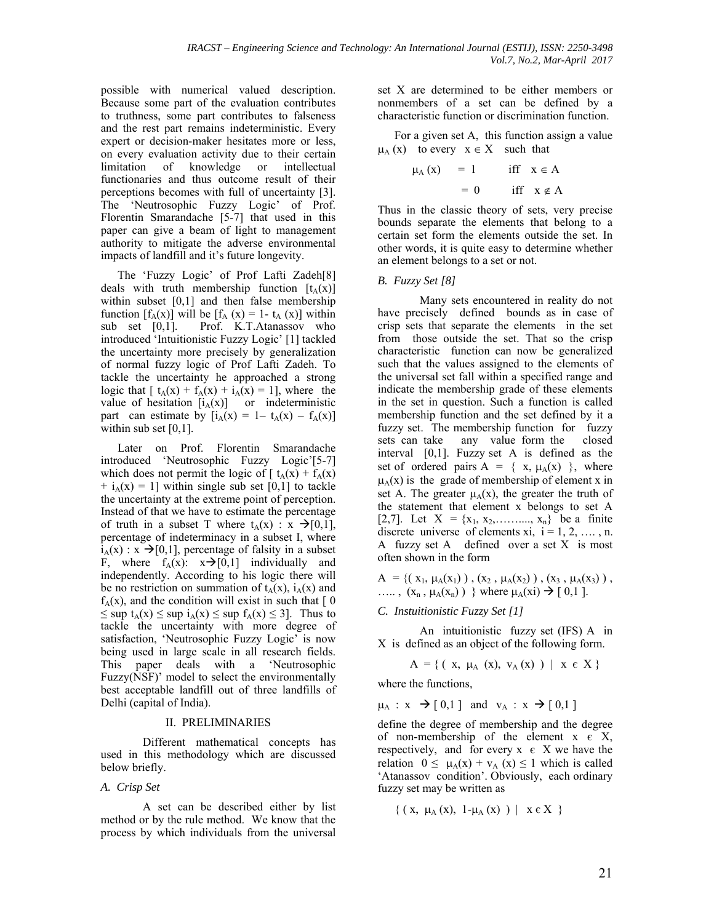possible with numerical valued description. Because some part of the evaluation contributes to truthness, some part contributes to falseness and the rest part remains indeterministic. Every expert or decision-maker hesitates more or less, on every evaluation activity due to their certain limitation of knowledge or intellectual functionaries and thus outcome result of their perceptions becomes with full of uncertainty [3]. The 'Neutrosophic Fuzzy Logic' of Prof. Florentin Smarandache [5-7] that used in this paper can give a beam of light to management authority to mitigate the adverse environmental impacts of landfill and it's future longevity.

The 'Fuzzy Logic' of Prof Lafti Zadeh[8] deals with truth membership function  $[t<sub>A</sub>(x)]$ within subset [0,1] and then false membership function  $[f_A(x)]$  will be  $[f_A(x) = 1 - t_A(x)]$  within<br>sub set [0,1]. Prof. K.T.Atanassov who Prof. K.T.Atanassov who introduced 'Intuitionistic Fuzzy Logic' [1] tackled the uncertainty more precisely by generalization of normal fuzzy logic of Prof Lafti Zadeh. To tackle the uncertainty he approached a strong logic that  $[t_A(x) + f_A(x) + i_A(x)] = 1$ , where the value of hesitation  $[i_A(x)]$  or indeterministic part can estimate by  $[i_A(x)] = 1 - t_A(x) - f_A(x)$ within sub set [0,1].

Later on Prof. Florentin Smarandache introduced 'Neutrosophic Fuzzy Logic'[5-7] which does not permit the logic of  $\lceil t_A(x) + f_A(x) \rceil$  $+ i<sub>A</sub>(x) = 1$ ] within single sub set [0,1] to tackle the uncertainty at the extreme point of perception. Instead of that we have to estimate the percentage of truth in a subset T where  $t_A(x)$  :  $x \rightarrow [0,1]$ , percentage of indeterminacy in a subset I, where  $i_A(x)$ :  $x \rightarrow [0,1]$ , percentage of falsity in a subset F, where  $f_A(x)$ :  $x \rightarrow [0,1]$  individually and independently. According to his logic there will be no restriction on summation of  $t_A(x)$ ,  $i_A(x)$  and  $f_A(x)$ , and the condition will exist in such that  $\lceil 0 \rceil$  $\leq$  sup  $t_A(x) \leq$  sup  $t_A(x) \leq$  sup  $f_A(x) \leq 3$ . Thus to tackle the uncertainty with more degree of satisfaction, 'Neutrosophic Fuzzy Logic' is now being used in large scale in all research fields. This paper deals with a 'Neutrosophic Fuzzy(NSF)' model to select the environmentally best acceptable landfill out of three landfills of Delhi (capital of India).

#### II. PRELIMINARIES

Different mathematical concepts has used in this methodology which are discussed below briefly.

#### *A. Crisp Set*

A set can be described either by list method or by the rule method. We know that the process by which individuals from the universal

set X are determined to be either members or nonmembers of a set can be defined by a characteristic function or discrimination function.

For a given set A, this function assign a value  $\mu_A(x)$  to every  $x \in X$  such that

$$
\mu_A(x) = 1 \quad \text{iff} \quad x \in A
$$

$$
= 0 \quad \text{iff} \quad x \notin A
$$

Thus in the classic theory of sets, very precise bounds separate the elements that belong to a certain set form the elements outside the set. In other words, it is quite easy to determine whether an element belongs to a set or not.

#### *B. Fuzzy Set [8]*

Many sets encountered in reality do not have precisely defined bounds as in case of crisp sets that separate the elements in the set from those outside the set. That so the crisp characteristic function can now be generalized such that the values assigned to the elements of the universal set fall within a specified range and indicate the membership grade of these elements in the set in question. Such a function is called membership function and the set defined by it a fuzzy set. The membership function for fuzzy sets can take any value form the closed interval [0,1]. Fuzzy set A is defined as the set of ordered pairs  $A = \{ x, \mu_A(x) \}$ , where  $\mu_A(x)$  is the grade of membership of element x in set A. The greater  $\mu_A(x)$ , the greater the truth of the statement that element x belongs to set A [2,7]. Let  $X = \{x_1, x_2, \dots, x_n\}$  be a finite discrete universe of elements xi,  $i = 1, 2, \dots, n$ . A fuzzy set A defined over a set X is most often shown in the form

 $A = \{ (x_1, \mu_A(x_1)) , (x_2, \mu_A(x_2)) , (x_3, \mu_A(x_3)) \}$  $\ldots$ ,  $(x_n, \mu_A(x_n))$  } where  $\mu_A(x_i) \rightarrow [0,1]$ .

#### *C. Instuitionistic Fuzzy Set [1]*

An intuitionistic fuzzy set (IFS) A in X is defined as an object of the following form.

$$
A = \{ (x, \mu_A(x), v_A(x)) | x \in X \}
$$

where the functions,

 $\mu_A$  :  $x \rightarrow [0,1]$  and  $v_A$  :  $x \rightarrow [0,1]$ 

define the degree of membership and the degree of non-membership of the element  $x \in X$ , respectively, and for every  $x \in X$  we have the relation  $0 \le \mu_A(x) + v_A(x) \le 1$  which is called 'Atanassov condition'. Obviously, each ordinary fuzzy set may be written as

$$
\{ ( x, \mu_A(x), 1-\mu_A(x) ) \mid x \in X \}
$$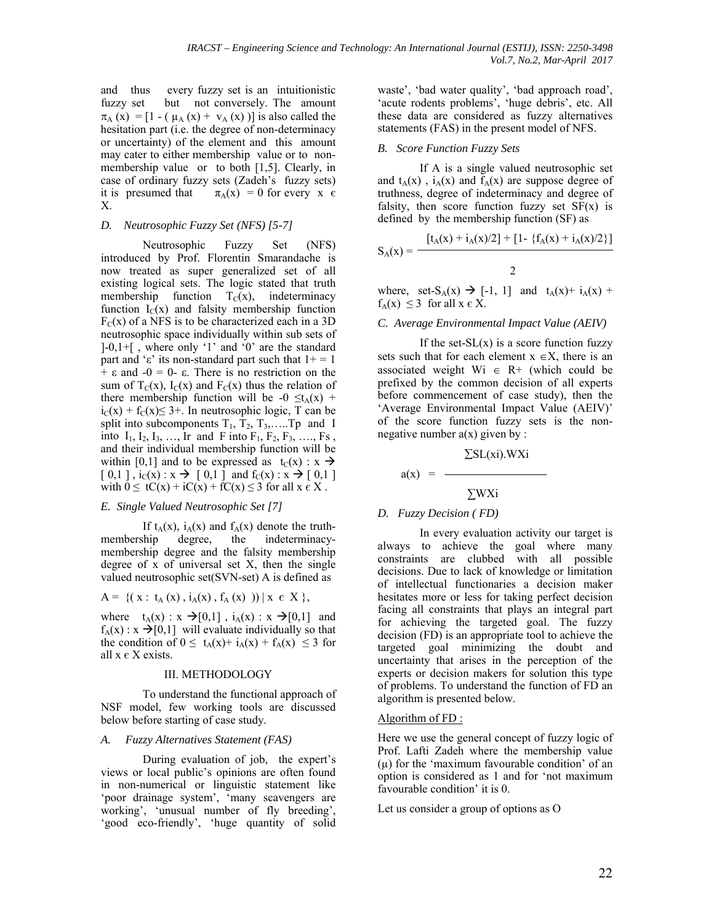and thus every fuzzy set is an intuitionistic fuzzy set but not conversely. The amount  $\pi_A$  (x) = [1 - ( $\mu_A$  (x) +  $v_A$  (x))] is also called the hesitation part (i.e. the degree of non-determinacy or uncertainty) of the element and this amount may cater to either membership value or to nonmembership value or to both [1,5]. Clearly, in case of ordinary fuzzy sets (Zadeh's fuzzy sets) it is presumed that  $\pi_A(x) = 0$  for every x  $\epsilon$ X.

## *D. Neutrosophic Fuzzy Set (NFS) [5-7]*

Neutrosophic Fuzzy Set (NFS) introduced by Prof. Florentin Smarandache is now treated as super generalized set of all existing logical sets. The logic stated that truth membership function  $T_{\rm C}(x)$ , indeterminacy function  $I_C(x)$  and falsity membership function  $F_C(x)$  of a NFS is to be characterized each in a 3D neutrosophic space individually within sub sets of  $[-0,1+\mathfrak{f}]$ , where only '1' and '0' are the standard part and 'ε' its non-standard part such that  $1+=1$  $+$  ε and  $-0$  = 0- ε. There is no restriction on the sum of  $T_C(x)$ ,  $I_C(x)$  and  $F_C(x)$  thus the relation of there membership function will be -0  $\leq t_A(x)$  +  $i<sub>C</sub>(x) + f<sub>C</sub>(x) \leq 3 +$ . In neutrosophic logic, T can be split into subcomponents  $T_1$ ,  $T_2$ ,  $T_3$ , ... ... Tp and I into  $I_1, I_2, I_3, \ldots, I_r$  and F into  $F_1, F_2, F_3, \ldots, F_s$ , and their individual membership function will be within [0,1] and to be expressed as  $t_C(x) : x \rightarrow$  $[0,1]$ ,  $i_C(x): x \rightarrow [0,1]$  and  $f_C(x): x \rightarrow [0,1]$ with  $0 \leq tC(x) + iC(x) + fC(x) \leq 3$  for all  $x \in X$ .

## *E. Single Valued Neutrosophic Set [7]*

If  $t_A(x)$ ,  $i_A(x)$  and  $f_A(x)$  denote the truth-<br>membership degree, the indeterminacydegree, the indeterminacymembership degree and the falsity membership degree of x of universal set X, then the single valued neutrosophic set(SVN-set) A is defined as

$$
A = \{ (x : t_A(x), i_A(x), f_A(x)) ) | x \in X \},
$$

where  $t_A(x) : x \rightarrow [0,1]$ ,  $i_A(x) : x \rightarrow [0,1]$  and  $f_A(x)$ :  $x \rightarrow [0,1]$  will evaluate individually so that the condition of  $0 \le t_A(x) + i_A(x) + f_A(x) \le 3$  for all  $x \in X$  exists.

#### III. METHODOLOGY

To understand the functional approach of NSF model, few working tools are discussed below before starting of case study.

## *A. Fuzzy Alternatives Statement (FAS)*

During evaluation of job, the expert's views or local public's opinions are often found in non-numerical or linguistic statement like 'poor drainage system', 'many scavengers are working', 'unusual number of fly breeding', 'good eco-friendly', 'huge quantity of solid waste', 'bad water quality', 'bad approach road', 'acute rodents problems', 'huge debris', etc. All these data are considered as fuzzy alternatives statements (FAS) in the present model of NFS.

## *B. Score Function Fuzzy Sets*

If A is a single valued neutrosophic set and  $t_A(x)$ ,  $i_A(x)$  and  $f_A(x)$  are suppose degree of truthness, degree of indeterminacy and degree of falsity, then score function fuzzy set  $SF(x)$  is defined by the membership function (SF) as

$$
S_A(x) = \frac{[t_A(x) + i_A(x)/2] + [1 - \{f_A(x) + i_A(x)/2\}]}{2}
$$

where, set-S<sub>A</sub>(x)  $\rightarrow$  [-1, 1] and t<sub>A</sub>(x) + i<sub>A</sub>(x) +  $f_A(x) \leq 3$  for all  $x \in X$ .

## *C. Average Environmental Impact Value (AEIV)*

If the set- $SL(x)$  is a score function fuzzy sets such that for each element  $x \in X$ , there is an associated weight Wi  $\in$  R+ (which could be prefixed by the common decision of all experts before commencement of case study), then the 'Average Environmental Impact Value (AEIV)' of the score function fuzzy sets is the nonnegative number  $a(x)$  given by :

$$
\Sigma
$$
SL(xi).WXi

 $a(x) = -$ 

$$
\sum \mathbf{W} \mathbf{X} \mathbf{i}
$$

## *D. Fuzzy Decision ( FD)*

In every evaluation activity our target is always to achieve the goal where many constraints are clubbed with all possible decisions. Due to lack of knowledge or limitation of intellectual functionaries a decision maker hesitates more or less for taking perfect decision facing all constraints that plays an integral part for achieving the targeted goal. The fuzzy decision (FD) is an appropriate tool to achieve the targeted goal minimizing the doubt and uncertainty that arises in the perception of the experts or decision makers for solution this type of problems. To understand the function of FD an algorithm is presented below.

## Algorithm of FD:

Here we use the general concept of fuzzy logic of Prof. Lafti Zadeh where the membership value  $(\mu)$  for the 'maximum favourable condition' of an option is considered as 1 and for 'not maximum favourable condition' it is 0.

Let us consider a group of options as O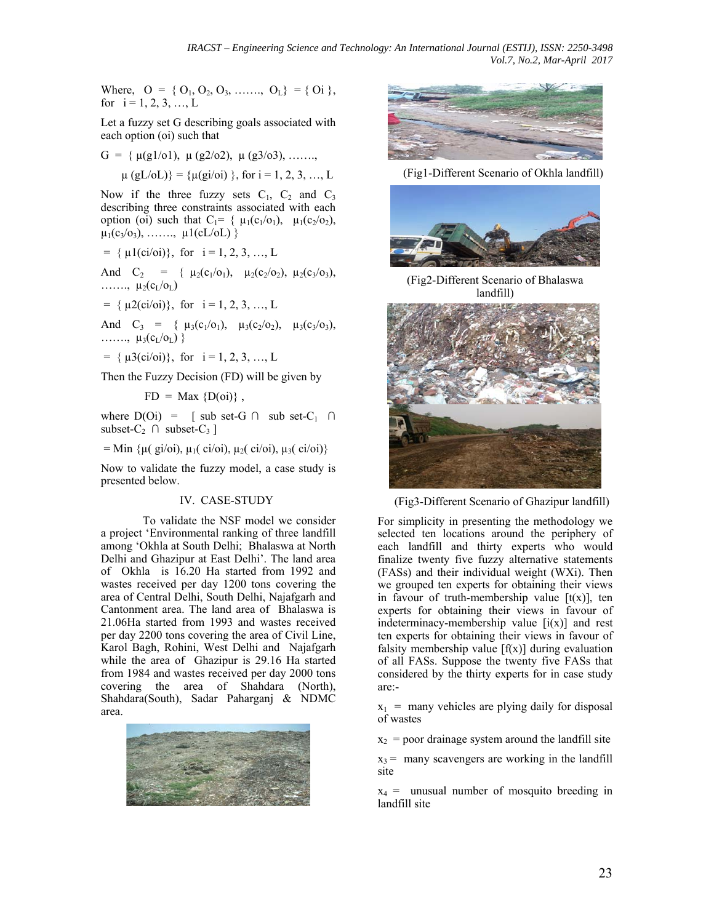*IRACST – Engineering Science and Technology: An International Journal (ESTIJ), ISSN: 2250-3498 Vol.7, No.2, Mar-April 2017*

Where,  $O = \{O_1, O_2, O_3, \ldots \ldots, O_L\} = \{O_i\},\$ for  $i = 1, 2, 3, \dots, L$ 

Let a fuzzy set G describing goals associated with each option (oi) such that

G = { 
$$
\mu(g1/01)
$$
,  $\mu(g2/02)$ ,  $\mu(g3/03)$ , .......,  
\n $\mu(gL/0L)$ } = { $\mu(gi/0i)$ }, for i = 1, 2, 3, ..., L

Now if the three fuzzy sets  $C_1$ ,  $C_2$  and  $C_3$ describing three constraints associated with each option (oi) such that  $C_1 = \{ \mu_1(c_1/o_1), \mu_1(c_2/o_2),$  $\mu_1(c_3/c_3), \ldots, \mu_1(cL/cL)$ 

 $= \{ \mu_1(ci/\delta i) \}, \text{ for } i = 1, 2, 3, \dots, L$ 

And  $C_2$  = {  $\mu_2(c_1/O_1)$ ,  $\mu_2(c_2/O_2)$ ,  $\mu_2(c_3/O_3)$ ,  $\ldots \ldots \ldots$ ,  $\mu_2(c_l/c_l)$ 

 $= \{ \mu2(ci/oi)) \}$ , for  $i = 1, 2, 3, ..., L$ 

And  $C_3 = \{ \mu_3(c_1/O_1), \mu_3(c_2/O_2), \mu_3(c_3/O_3), \}$ .......,  $\mu_3(c_L/c_L)$  }

 $= \{ \mu \mathfrak{Z}(\text{ci/oi}) \}, \text{ for } i = 1, 2, 3, ..., L$ 

Then the Fuzzy Decision (FD) will be given by

 $FD = Max \{D(oi)\}\,$ ,

where  $D(Oi) = \int sub set-G \cap sub set-C_1 \cap$ subset- $C_2 \cap$  subset- $C_3$ ]

= Min  $\{\mu$ ( gi/oi),  $\mu$ <sub>1</sub>( ci/oi),  $\mu$ <sub>2</sub>( ci/oi),  $\mu$ <sub>3</sub>( ci/oi)}

Now to validate the fuzzy model, a case study is presented below.

#### IV. CASE-STUDY

To validate the NSF model we consider a project 'Environmental ranking of three landfill among 'Okhla at South Delhi; Bhalaswa at North Delhi and Ghazipur at East Delhi'. The land area of Okhla is 16.20 Ha started from 1992 and wastes received per day 1200 tons covering the area of Central Delhi, South Delhi, Najafgarh and Cantonment area. The land area of Bhalaswa is 21.06Ha started from 1993 and wastes received per day 2200 tons covering the area of Civil Line, Karol Bagh, Rohini, West Delhi and Najafgarh while the area of Ghazipur is 29.16 Ha started from 1984 and wastes received per day 2000 tons covering the area of Shahdara (North), Shahdara(South), Sadar Paharganj & NDMC area.





(Fig1-Different Scenario of Okhla landfill)



(Fig2-Different Scenario of Bhalaswa landfill)



(Fig3-Different Scenario of Ghazipur landfill)

For simplicity in presenting the methodology we selected ten locations around the periphery of each landfill and thirty experts who would finalize twenty five fuzzy alternative statements (FASs) and their individual weight (WXi). Then we grouped ten experts for obtaining their views in favour of truth-membership value  $[t(x)]$ , ten experts for obtaining their views in favour of indeterminacy-membership value  $[i(x)]$  and rest ten experts for obtaining their views in favour of falsity membership value  $[f(x)]$  during evaluation of all FASs. Suppose the twenty five FASs that considered by the thirty experts for in case study are:-

 $x_1$  = many vehicles are plying daily for disposal of wastes

 $x<sub>2</sub>$  = poor drainage system around the landfill site

 $x_3$  = many scavengers are working in the landfill site

 $x_4$  = unusual number of mosquito breeding in landfill site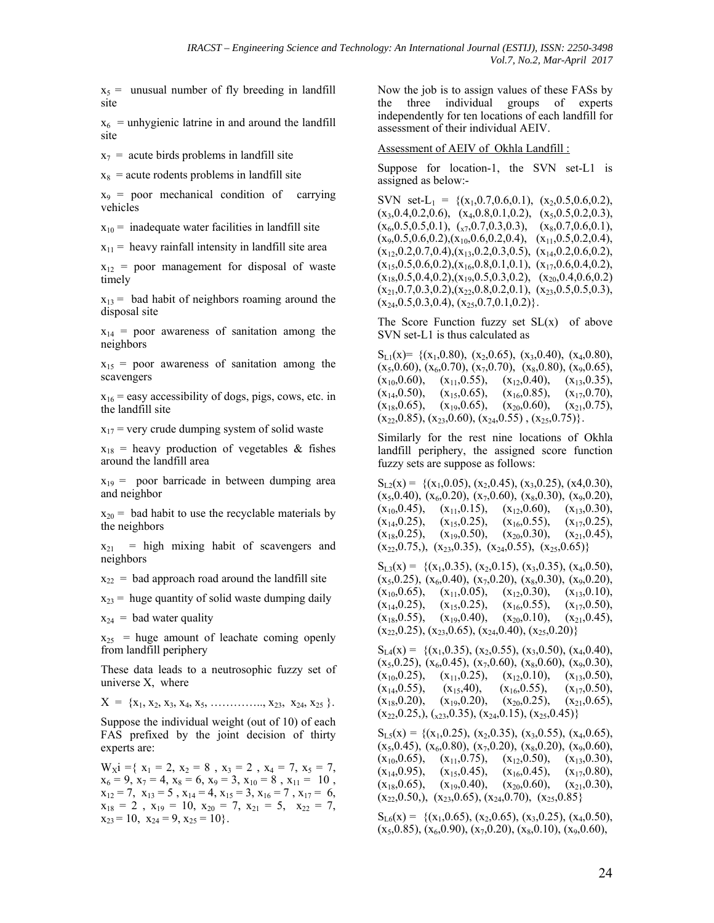$x_5$  = unusual number of fly breeding in landfill site

 $x_6$  = unhygienic latrine in and around the landfill site

 $x_7$  = acute birds problems in landfill site

 $x_8$  = acute rodents problems in landfill site

 $x_9$  = poor mechanical condition of carrying vehicles

 $x_{10}$  = inadequate water facilities in landfill site

 $x_{11}$  = heavy rainfall intensity in landfill site area

 $x_{12}$  = poor management for disposal of waste timely

 $x_{13}$  = bad habit of neighbors roaming around the disposal site

 $x_{14}$  = poor awareness of sanitation among the neighbors

 $x_{15}$  = poor awareness of sanitation among the scavengers

 $x_{16}$  = easy accessibility of dogs, pigs, cows, etc. in the landfill site

 $x_{17}$  = very crude dumping system of solid waste

 $x_{18}$  = heavy production of vegetables & fishes around the landfill area

 $x_{19}$  = poor barricade in between dumping area and neighbor

 $x_{20}$  = bad habit to use the recyclable materials by the neighbors

 $x_{21}$  = high mixing habit of scavengers and neighbors

 $x_{22}$  = bad approach road around the landfill site

 $x_{23}$  = huge quantity of solid waste dumping daily

 $x_{24}$  = bad water quality

 $x_{25}$  = huge amount of leachate coming openly from landfill periphery

These data leads to a neutrosophic fuzzy set of universe X, where

 $X = \{x_1, x_2, x_3, x_4, x_5, \ldots, x_{23}, x_{24}, x_{25}\}.$ 

Suppose the individual weight (out of 10) of each FAS prefixed by the joint decision of thirty experts are:

 $W_{\rm X}i = \{ x_1 = 2, x_2 = 8, x_3 = 2, x_4 = 7, x_5 = 7,$  $x_6 = 9$ ,  $x_7 = 4$ ,  $x_8 = 6$ ,  $x_9 = 3$ ,  $x_{10} = 8$ ,  $x_{11} = 10$ ,  $x_{12} = 7$ ,  $x_{13} = 5$ ,  $x_{14} = 4$ ,  $x_{15} = 3$ ,  $x_{16} = 7$ ,  $x_{17} = 6$ ,  $x_{18} = 2$ ,  $x_{19} = 10$ ,  $x_{20} = 7$ ,  $x_{21} = 5$ ,  $x_{22} = 7$ ,  $x_{23} = 10$ ,  $x_{24} = 9$ ,  $x_{25} = 10$ .

Now the job is to assign values of these FASs by the three individual groups of experts independently for ten locations of each landfill for assessment of their individual AEIV.

#### Assessment of AEIV of Okhla Landfill :

Suppose for location-1, the SVN set-L1 is assigned as below:-

SVN set-L<sub>1</sub> = { $(x_1, 0.7, 0.6, 0.1)$ ,  $(x_2, 0.5, 0.6, 0.2)$ ,  $(x_3, 0.4, 0.2, 0.6), (x_4, 0.8, 0.1, 0.2), (x_5, 0.5, 0.2, 0.3),$  $(x_6, 0.5, 0.5, 0.1), (x_7, 0.7, 0.3, 0.3), (x_8, 0.7, 0.6, 0.1),$  $(x_9, 0.5, 0.6, 0.2), (x_{10}, 0.6, 0.2, 0.4), (x_{11}, 0.5, 0.2, 0.4),$  $(x_{12},0.2,0.7,0.4), (x_{13},0.2,0.3,0.5), (x_{14},0.2,0.6,0.2),$  $(x_{15},0.5,0.6,0.2), (x_{16},0.8,0.1,0.1), (x_{17},0.6,0.4,0.2),$  $(x_{18},0.5,0.4,0.2),(x_{19},0.5,0.3,0.2), (x_{20},0.4,0.6,0.2)$  $(x_{21},0.7,0.3,0.2),(x_{22},0.8,0.2,0.1), (x_{23},0.5,0.5,0.3),$  $(x_{24},0.5,0.3,0.4), (x_{25},0.7,0.1,0.2)\}.$ 

The Score Function fuzzy set  $SL(x)$  of above SVN set-L1 is thus calculated as

 $S_{L1}(x) = \{(x_1, 0.80), (x_2, 0.65), (x_3, 0.40), (x_4, 0.80),$  $(x_5,0.60)$ ,  $(x_6,0.70)$ ,  $(x_7,0.70)$ ,  $(x_8,0.80)$ ,  $(x_9,0.65)$ ,  $(x_{10},0.60), (x_{11},0.55), (x_{12},0.40), (x_{13},0.35),$  $(x_{14},0.50), (x_{15},0.65), (x_{16},0.85), (x_{17},0.70),$  $(x_{18},0.65), (x_{19},0.65), (x_{20},0.60), (x_{21},0.75),$  $(x_{22},0.85), (x_{23},0.60), (x_{24},0.55), (x_{25},0.75)\}.$ 

Similarly for the rest nine locations of Okhla landfill periphery, the assigned score function fuzzy sets are suppose as follows:

 $S_{L2}(x) = \{(x_1, 0.05), (x_2, 0.45), (x_3, 0.25), (x4, 0.30),$  $(x_5,0.40)$ ,  $(x_6,0.20)$ ,  $(x_7,0.60)$ ,  $(x_8,0.30)$ ,  $(x_9,0.20)$ ,  $(x_{10},0.45), (x_{11},0.15), (x_{12},0.60), (x_{13},0.30),$  $(x_{14},0.25), (x_{15},0.25), (x_{16},0.55), (x_{17},0.25),$  $(x_{18},0.25)$ ,  $(x_{19},0.50)$ ,  $(x_{20},0.30)$ ,  $(x_{21},0.45)$ ,  $(x_{22},0.75)$ ,  $(x_{23},0.35)$ ,  $(x_{24},0.55)$ ,  $(x_{25},0.65)$ }

 $S_{1,3}(x) = \{(x_1, 0.35), (x_2, 0.15), (x_3, 0.35), (x_4, 0.50),$  $(x_5, 0.25)$ ,  $(x_6, 0.40)$ ,  $(x_7, 0.20)$ ,  $(x_8, 0.30)$ ,  $(x_9, 0.20)$ ,  $(x_{10},0.65)$ ,  $(x_{11},0.05)$ ,  $(x_{12},0.30)$ ,  $(x_{13},0.10)$ ,  $(x_{14},0.25), (x_{15},0.25), (x_{16},0.55), (x_{17},0.50),$  $(x_{18},0.55), (x_{19},0.40), (x_{20},0.10), (x_{21},0.45),$  $(x_{22},0.25)$ ,  $(x_{23},0.65)$ ,  $(x_{24},0.40)$ ,  $(x_{25},0.20)$ }

 $S_{L4}(x) = \{(x_1, 0.35), (x_2, 0.55), (x_3, 0.50), (x_4, 0.40),$  $(x_5,0.25)$ ,  $(x_6,0.45)$ ,  $(x_7,0.60)$ ,  $(x_8,0.60)$ ,  $(x_9,0.30)$ ,  $(x_{10},0.25)$ ,  $(x_{11},0.25)$ ,  $(x_{12},0.10)$ ,  $(x_{13},0.50)$ ,  $(x_{14},0.55), (x_{15},40), (x_{16},0.55), (x_{17},0.50),$  $(x_{18},0.20), (x_{19},0.20), (x_{20},0.25), (x_{21},0.65),$  $(x_{22},0.25)$ ,  $(x_{23},0.35)$ ,  $(x_{24},0.15)$ ,  $(x_{25},0.45)$ }

 $S_{LS}(x) = \{(x_1, 0.25), (x_2, 0.35), (x_3, 0.55), (x_4, 0.65),$  $(x_5,0.45)$ ,  $(x_6,0.80)$ ,  $(x_7,0.20)$ ,  $(x_8,0.20)$ ,  $(x_9,0.60)$ ,  $(x_{10},0.65)$ ,  $(x_{11},0.75)$ ,  $(x_{12},0.50)$ ,  $(x_{13},0.30)$ ,  $(x_{14},0.95), (x_{15},0.45), (x_{16},0.45), (x_{17},0.80),$  $(x_{18},0.65)$ ,  $(x_{19},0.40)$ ,  $(x_{20},0.60)$ ,  $(x_{21},0.30)$ ,  $(x_{22},0.50)$ ,  $(x_{23},0.65)$ ,  $(x_{24},0.70)$ ,  $(x_{25},0.85)$ 

 $S_{1,6}(x) = \{(x_1, 0.65), (x_2, 0.65), (x_3, 0.25), (x_4, 0.50),$  $(x_5,0.85)$ ,  $(x_6,0.90)$ ,  $(x_7,0.20)$ ,  $(x_8,0.10)$ ,  $(x_9,0.60)$ ,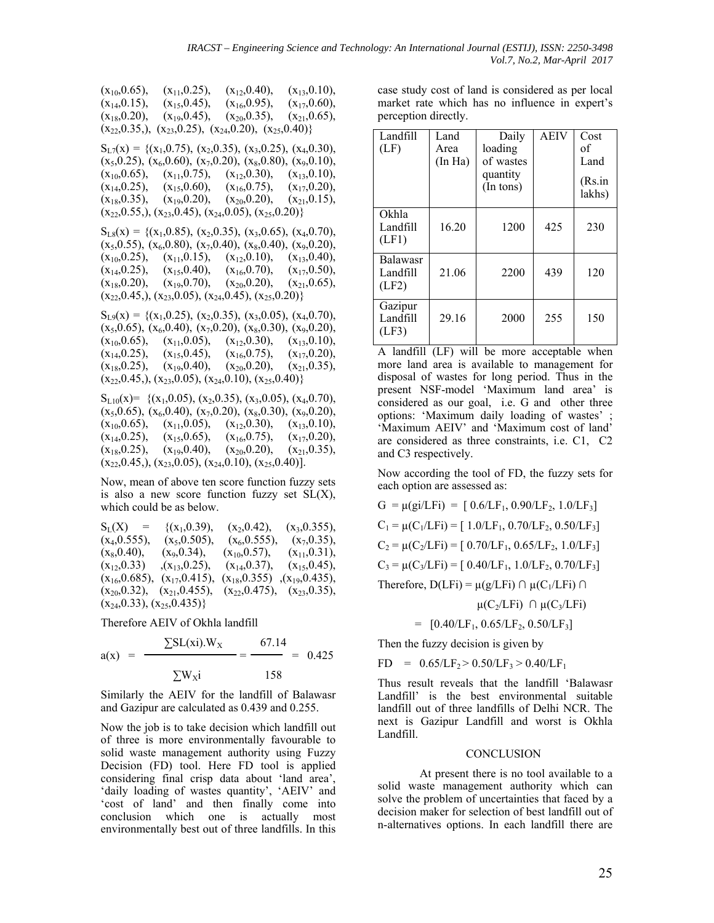$(x_{10},0.65)$ ,  $(x_{11},0.25)$ ,  $(x_{12},0.40)$ ,  $(x_{13},0.10)$ ,<br> $(x_{14},0.15)$ ,  $(x_{15},0.45)$ ,  $(x_{16},0.95)$ ,  $(x_{17},0.60)$ ,  $(x_{14},0.15), (x_{15},0.45),$  $(x_{18},0.20), (x_{19},0.45), (x_{20},0.35), (x_{21},0.65),$  $(x_{22},0.35)$ ,  $(x_{23},0.25)$ ,  $(x_{24},0.20)$ ,  $(x_{25},0.40)$ }  $S_{L7}(x) = \{(x_1, 0.75), (x_2, 0.35), (x_3, 0.25), (x_4, 0.30),$  $(x_5,0.25)$ ,  $(x_6,0.60)$ ,  $(x_7,0.20)$ ,  $(x_8,0.80)$ ,  $(x_9,0.10)$ ,<br> $(x_{10},0.65)$ ,  $(x_{11},0.75)$ ,  $(x_{12},0.30)$ ,  $(x_{13},0.10)$ ,  $(x_{12},0.30),$  $(x_{14},0.25)$ ,  $(x_{15},0.60)$ ,  $(x_{16},0.75)$ ,  $(x_{17},0.20)$ ,<br> $(x_{18},0.35)$ ,  $(x_{19},0.20)$ ,  $(x_{20},0.20)$ ,  $(x_{21},0.15)$ ,  $(x_{19},0.20),$  $(x_{22},0.55,), (x_{23},0.45), (x_{24},0.05), (x_{25},0.20)$  $S_{LS}(x) = \{(x_1, 0.85), (x_2, 0.35), (x_3, 0.65), (x_4, 0.70),$  $(x_5,0.55)$ ,  $(x_6,0.80)$ ,  $(x_7,0.40)$ ,  $(x_8,0.40)$ ,  $(x_9,0.20)$ ,<br> $(x_{10},0.25)$ ,  $(x_{11},0.15)$ ,  $(x_{12},0.10)$ ,  $(x_{13},0.40)$ ,  $(x_{10},0.25)$ ,  $(x_{11},0.15)$ ,  $(x_{12},0.10)$ ,  $(x_{13},0.40)$ ,<br> $(x_{14},0.25)$ ,  $(x_{15},0.40)$ ,  $(x_{16},0.70)$ ,  $(x_{17},0.50)$ ,  $(x_{16},0.70), (x_{20},0.20),$  $(x_{18},0.20), (x_{19},0.70), (x_{20},0.20), (x_{21},0.65),$  $(x_{22},0.45,), (x_{23},0.05), (x_{24},0.45), (x_{25},0.20)$  $S_{L9}(x) = \{(x_1, 0.25), (x_2, 0.35), (x_3, 0.05), (x_4, 0.70),$  $(x_5,0.65)$ ,  $(x_6,0.40)$ ,  $(x_7,0.20)$ ,  $(x_8,0.30)$ ,  $(x_9,0.20)$ ,  $(x_{10},0.65)$ ,  $(x_{11},0.05)$ ,  $(x_{12},0.30)$ ,  $(x_{13},0.10)$ ,  $(x_{14},0.25)$ ,  $(x_{15},0.45)$ ,  $(x_{16},0.75)$ ,  $(x_{17},0.20)$ ,<br> $(x_{18},0.25)$ ,  $(x_{19},0.40)$ ,  $(x_{20},0.20)$ ,  $(x_{21},0.35)$ ,

 $(x_{20},0.20),$  $(x_{22},0.45)$ ,  $(x_{23},0.05)$ ,  $(x_{24},0.10)$ ,  $(x_{25},0.40)$ }  $S_{L10}(x) = \{ (x_1, 0.05), (x_2, 0.35), (x_3, 0.05), (x_4, 0.70),$  $(x_5,0.65)$ ,  $(x_6,0.40)$ ,  $(x_7,0.20)$ ,  $(x_8,0.30)$ ,  $(x_9,0.20)$ ,  $(x_{10},0.65)$ ,  $(x_{11},0.05)$ ,  $(x_{12},0.30)$ ,  $(x_{13},0.10)$ ,  $(x_{14},0.25)$ ,  $(x_{15},0.65)$ ,  $(x_{16},0.75)$ ,  $(x_{17},0.20)$ ,<br> $(x_{18},0.25)$ ,  $(x_{19},0.40)$ ,  $(x_{20},0.20)$ ,  $(x_{21},0.35)$ ,  $(x_{18},0.25),$ 

 $(x_{22},0.45)$ ,  $(x_{23},0.05)$ ,  $(x_{24},0.10)$ ,  $(x_{25},0.40)$ ].

Now, mean of above ten score function fuzzy sets is also a new score function fuzzy set  $SL(X)$ , which could be as below.

| $S_{L}(X) =$       | $\{(x_1, 0.39),\}$                | $(x_2, 0.42)$ ,   | $(x_3, 0.355),$                  |
|--------------------|-----------------------------------|-------------------|----------------------------------|
| $(x_4, 0.555)$ ,   | $(x_5, 0.505)$ ,                  | $(x_6, 0.555),$   | $(x_7, 0.35)$ ,                  |
| $(x_8, 0.40)$ ,    | $(x_9, 0.34)$ ,                   | $(x_{10},0.57)$ , | $(x_{11},0.31)$ ,                |
| $(x_{12},0.33)$    | $(x_{13},0.25)$ ,                 | $(x_{14},0.37),$  | $(x_{15},0.45)$ ,                |
| $(x_{16},0.685)$ , | $(x_{17},0.415)$ ,                | $(x_{18},0.355)$  | $(x_{19},0.435)$ ,               |
|                    | $(x_{20},0.32), (x_{21},0.455),$  |                   | $(x_{22},0.475), (x_{23},0.35),$ |
|                    | $(x_{24},0.33), (x_{25},0.435)\}$ |                   |                                  |

Therefore AEIV of Okhla landfill

$$
a(x) = \frac{\sum SL(xi).W_X}{\sum W_X i} = \frac{67.14}{158} = 0.425
$$

Similarly the AEIV for the landfill of Balawasr and Gazipur are calculated as 0.439 and 0.255.

Now the job is to take decision which landfill out of three is more environmentally favourable to solid waste management authority using Fuzzy Decision (FD) tool. Here FD tool is applied considering final crisp data about 'land area', 'daily loading of wastes quantity', 'AEIV' and 'cost of land' and then finally come into conclusion which one is actually most environmentally best out of three landfills. In this case study cost of land is considered as per local market rate which has no influence in expert's perception directly.

| Landfill<br>(LF)                     | Land<br>Area<br>(In Ha) | Daily<br>loading<br>of wastes<br>quantity<br>(In tons) | <b>AEIV</b> | Cost<br>of<br>Land<br>(Rs.in<br>lakhs) |
|--------------------------------------|-------------------------|--------------------------------------------------------|-------------|----------------------------------------|
| Okhla<br>Landfill<br>(LF1)           | 16.20                   | 1200                                                   | 425         | 230                                    |
| <b>Balawasr</b><br>Landfill<br>(LF2) | 21.06                   | 2200                                                   | 439         | 120                                    |
| Gazipur<br>Landfill<br>(LF3)         | 29.16                   | 2000                                                   | 255         | 150                                    |

A landfill (LF) will be more acceptable when more land area is available to management for disposal of wastes for long period. Thus in the present NSF-model 'Maximum land area' is considered as our goal, i.e. G and other three options: 'Maximum daily loading of wastes' ; 'Maximum AEIV' and 'Maximum cost of land' are considered as three constraints, i.e. C1, C2 and C3 respectively.

Now according the tool of FD, the fuzzy sets for each option are assessed as:

 $G = \mu(\text{gi}/\text{LFi}) = [0.6/\text{LF}_{1}, 0.90/\text{LF}_{2}, 1.0/\text{LF}_{3}]$  $C_1 = \mu(C_1/LFi) = [1.0/LF_1, 0.70/LF_2, 0.50/LF_3]$  $C_2 = \mu(C_2/LFi) = [0.70/LF_1, 0.65/LF_2, 1.0/LF_3]$  $C_3 = \mu(C_3 / LFi) = [0.40 / LF_1, 1.0 / LF_2, 0.70 / LF_3]$ Therefore,  $D(LFi) = \mu(g/LFi) \cap \mu(C_1/LFi) \cap$ 

 $\mu(C_2/LFi)$  ∩  $\mu(C_3/LFi)$ 

$$
= [0.40/\text{LF}_1, 0.65/\text{LF}_2, 0.50/\text{LF}_3]
$$

Then the fuzzy decision is given by

 $FD = 0.65/LF_2 > 0.50/LF_3 > 0.40/LF_1$ 

Thus result reveals that the landfill 'Balawasr Landfill' is the best environmental suitable landfill out of three landfills of Delhi NCR. The next is Gazipur Landfill and worst is Okhla Landfill.

## **CONCLUSION**

At present there is no tool available to a solid waste management authority which can solve the problem of uncertainties that faced by a decision maker for selection of best landfill out of n-alternatives options. In each landfill there are